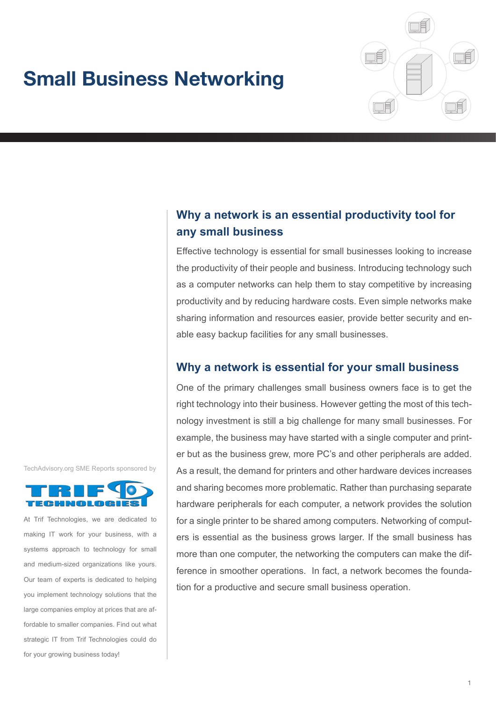# **Small Business Networking**



# **Why a network is an essential productivity tool for any small business**

Effective technology is essential for small businesses looking to increase the productivity of their people and business. Introducing technology such as a computer networks can help them to stay competitive by increasing productivity and by reducing hardware costs. Even simple networks make sharing information and resources easier, provide better security and enable easy backup facilities for any small businesses.

# **Why a network is essential for your small business**

One of the primary challenges small business owners face is to get the right technology into their business. However getting the most of this technology investment is still a big challenge for many small businesses. For example, the business may have started with a single computer and printer but as the business grew, more PC's and other peripherals are added. As a result, the demand for printers and other hardware devices increases and sharing becomes more problematic. Rather than purchasing separate hardware peripherals for each computer, a network provides the solution for a single printer to be shared among computers. Networking of computers is essential as the business grows larger. If the small business has more than one computer, the networking the computers can make the difference in smoother operations. In fact, a network becomes the foundation for a productive and secure small business operation.

TechAdvisory.org SME Reports sponsored by



At Trif Technologies, we are dedicated to making IT work for your business, with a systems approach to technology for small and medium-sized organizations like yours. Our team of experts is dedicated to helping you implement technology solutions that the large companies employ at prices that are affordable to smaller companies. Find out what strategic IT from Trif Technologies could do for your growing business today!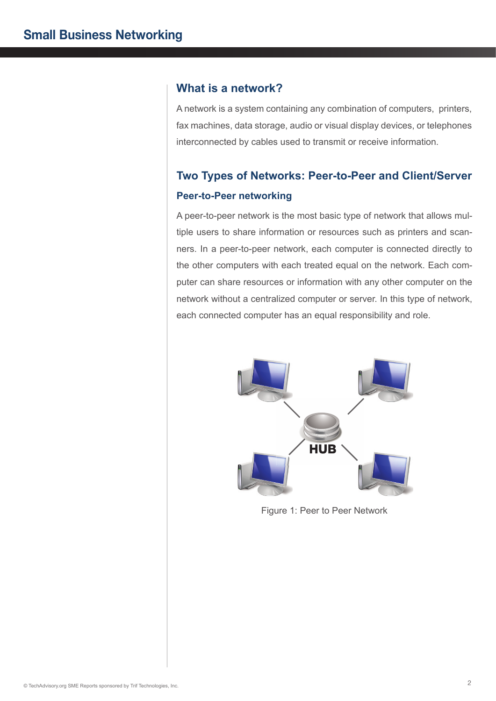## **What is a network?**

A network is a system containing any combination of computers, printers, fax machines, data storage, audio or visual display devices, or telephones interconnected by cables used to transmit or receive information.

# **Two Types of Networks: Peer-to-Peer and Client/Server Peer-to-Peer networking**

A peer-to-peer network is the most basic type of network that allows multiple users to share information or resources such as printers and scanners. In a peer-to-peer network, each computer is connected directly to the other computers with each treated equal on the network. Each computer can share resources or information with any other computer on the network without a centralized computer or server. In this type of network, each connected computer has an equal responsibility and role.



Figure 1: Peer to Peer Network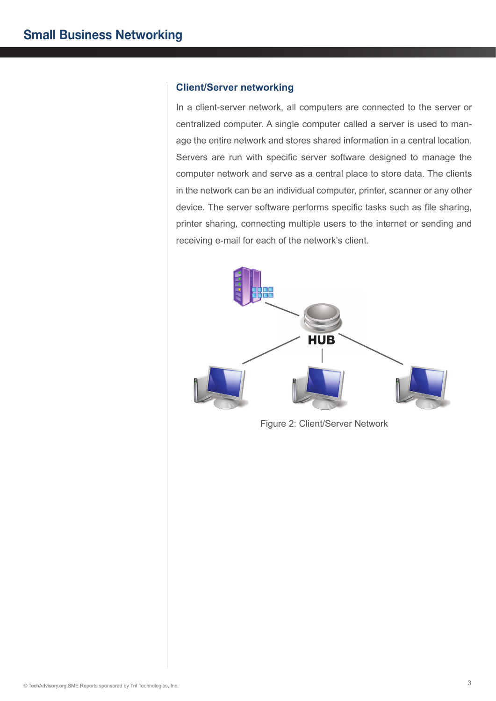#### **Client/Server networking**

In a client-server network, all computers are connected to the server or centralized computer. A single computer called a server is used to manage the entire network and stores shared information in a central location. Servers are run with specific server software designed to manage the computer network and serve as a central place to store data. The clients in the network can be an individual computer, printer, scanner or any other device. The server software performs specific tasks such as file sharing, printer sharing, connecting multiple users to the internet or sending and receiving e-mail for each of the network's client.



Figure 2: Client/Server Network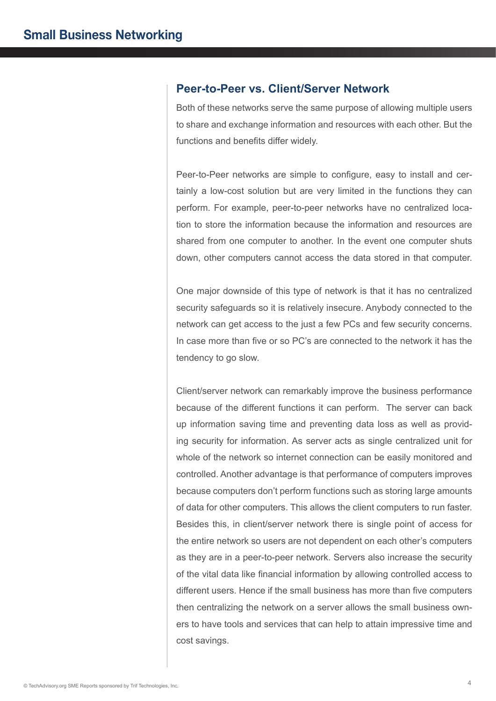#### **Peer-to-Peer vs. Client/Server Network**

Both of these networks serve the same purpose of allowing multiple users to share and exchange information and resources with each other. But the functions and benefits differ widely.

Peer-to-Peer networks are simple to configure, easy to install and certainly a low-cost solution but are very limited in the functions they can perform. For example, peer-to-peer networks have no centralized location to store the information because the information and resources are shared from one computer to another. In the event one computer shuts down, other computers cannot access the data stored in that computer.

One major downside of this type of network is that it has no centralized security safeguards so it is relatively insecure. Anybody connected to the network can get access to the just a few PCs and few security concerns. In case more than five or so PC's are connected to the network it has the tendency to go slow.

Client/server network can remarkably improve the business performance because of the different functions it can perform. The server can back up information saving time and preventing data loss as well as providing security for information. As server acts as single centralized unit for whole of the network so internet connection can be easily monitored and controlled. Another advantage is that performance of computers improves because computers don't perform functions such as storing large amounts of data for other computers. This allows the client computers to run faster. Besides this, in client/server network there is single point of access for the entire network so users are not dependent on each other's computers as they are in a peer-to-peer network. Servers also increase the security of the vital data like financial information by allowing controlled access to different users. Hence if the small business has more than five computers then centralizing the network on a server allows the small business owners to have tools and services that can help to attain impressive time and cost savings.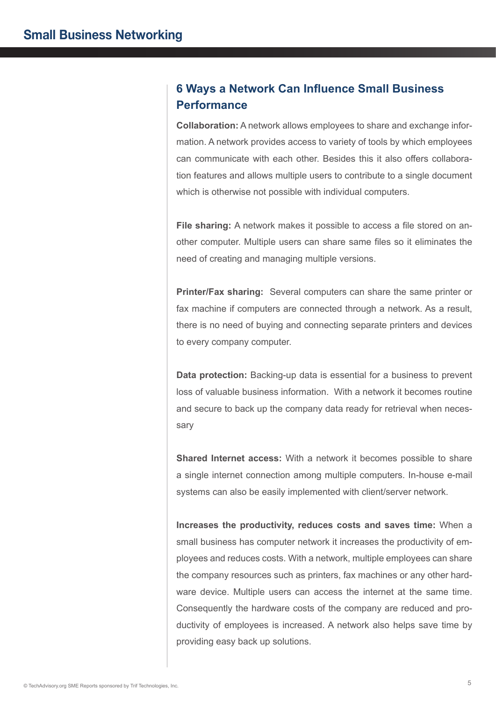# **6 Ways a Network Can Influence Small Business Performance**

**Collaboration:** A network allows employees to share and exchange information. A network provides access to variety of tools by which employees can communicate with each other. Besides this it also offers collaboration features and allows multiple users to contribute to a single document which is otherwise not possible with individual computers.

**File sharing:** A network makes it possible to access a file stored on another computer. Multiple users can share same files so it eliminates the need of creating and managing multiple versions.

**Printer/Fax sharing:** Several computers can share the same printer or fax machine if computers are connected through a network. As a result, there is no need of buying and connecting separate printers and devices to every company computer.

**Data protection:** Backing-up data is essential for a business to prevent loss of valuable business information. With a network it becomes routine and secure to back up the company data ready for retrieval when necessary

**Shared Internet access:** With a network it becomes possible to share a single internet connection among multiple computers. In-house e-mail systems can also be easily implemented with client/server network.

**Increases the productivity, reduces costs and saves time:** When a small business has computer network it increases the productivity of employees and reduces costs. With a network, multiple employees can share the company resources such as printers, fax machines or any other hardware device. Multiple users can access the internet at the same time. Consequently the hardware costs of the company are reduced and productivity of employees is increased. A network also helps save time by providing easy back up solutions.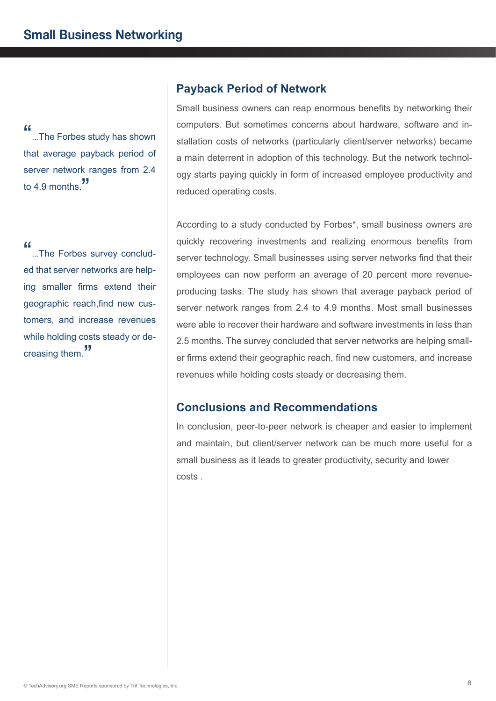"...The Forbes study has shown" that average payback period of server network ranges from 2.4 to 4.9 months."

"...The Forbes survey concluded that server networks are helping smaller firms extend their geographic reach,find new customers, and increase revenues while holding costs steady or decreasing them.<sup>"</sup>

## **Payback Period of Network**

Small business owners can reap enormous benefits by networking their computers. But sometimes concerns about hardware, software and installation costs of networks (particularly client/server networks) became a main deterrent in adoption of this technology. But the network technology starts paying quickly in form of increased employee productivity and reduced operating costs.

According to a study conducted by Forbes\*, small business owners are quickly recovering investments and realizing enormous benefits from server technology. Small businesses using server networks find that their employees can now perform an average of 20 percent more revenueproducing tasks. The study has shown that average payback period of server network ranges from 2.4 to 4.9 months. Most small businesses were able to recover their hardware and software investments in less than 2.5 months. The survey concluded that server networks are helping smaller firms extend their geographic reach, find new customers, and increase revenues while holding costs steady or decreasing them.

# **Conclusions and Recommendations**

In conclusion, peer-to-peer network is cheaper and easier to implement and maintain, but client/server network can be much more useful for a small business as it leads to greater productivity, security and lower costs .